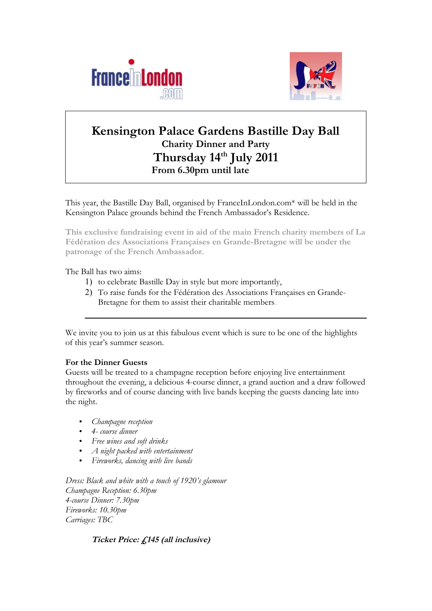



# **Kensington Palace Gardens Bastille Day Ball Charity Dinner and Party Thursday 14th July 2011 From 6.30pm until late**

This year, the Bastille Day Ball, organised by FranceInLondon.com\* will be held in the Kensington Palace grounds behind the French Ambassador's Residence.

**This exclusive fundraising event in aid of the main French charity members of La Fédération des Associations Françaises en Grande-Bretagne will be under the patronage of the French Ambassador.** 

The Ball has two aims:

- 1) to celebrate Bastille Day in style but more importantly,
- 2) To raise funds for the Fédération des Associations Françaises en Grande-Bretagne for them to assist their charitable members.

We invite you to join us at this fabulous event which is sure to be one of the highlights of this year's summer season.

### **For the Dinner Guests**

Guests will be treated to a champagne reception before enjoying live entertainment throughout the evening, a delicious 4-course dinner, a grand auction and a draw followed by fireworks and of course dancing with live bands keeping the guests dancing late into the night.

- *Champagne reception*
- *4- course dinner*
- *Free wines and soft drinks*
- *A night packed with entertainment*
- *Fireworks, dancing with live bands*

*Dress: Black and white with a touch of 1920's glamour Champagne Reception: 6.30pm 4-course Dinner: 7.30pm Fireworks: 10.30pm Carriages: TBC*

### **Ticket Price: £145 (all inclusive)**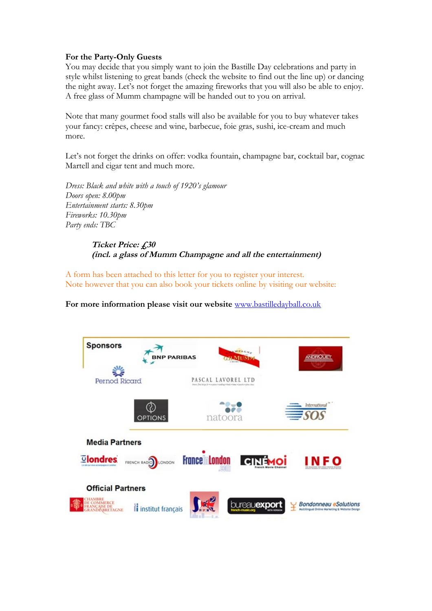#### **For the Party-Only Guests**

You may decide that you simply want to join the Bastille Day celebrations and party in style whilst listening to great bands (check the website to find out the line up) or dancing the night away. Let's not forget the amazing fireworks that you will also be able to enjoy. A free glass of Mumm champagne will be handed out to you on arrival.

Note that many gourmet food stalls will also be available for you to buy whatever takes your fancy: crêpes, cheese and wine, barbecue, foie gras, sushi, ice-cream and much more.

Let's not forget the drinks on offer: vodka fountain, champagne bar, cocktail bar, cognac Martell and cigar tent and much more.

*Dress: Black and white with a touch of 1920's glamour Doors open: 8.00pm Entertainment starts: 8.30pm Fireworks: 10.30pm Party ends: TBC*

> **Ticket Price: £30 (incl. a glass of Mumm Champagne and all the entertainment)**

A form has been attached to this letter for you to register your interest. Note however that you can also book your tickets online by visiting our website:

**For more information please visit our website** [www.bastilledayball.co.uk](http://www.bastilledayball.co.uk/)

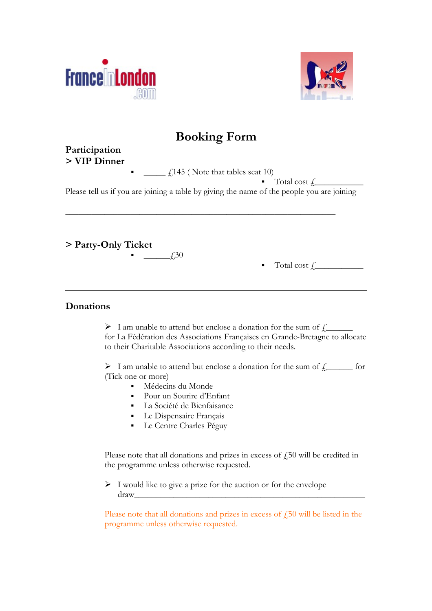



# **Booking Form**

# **Participation > VIP Dinner**

 $\frac{1}{2}$  £145 (Note that tables seat 10)

\_\_\_\_\_\_\_\_\_\_\_\_\_\_\_\_\_\_\_\_\_\_\_\_\_\_\_\_\_\_\_\_\_\_\_\_\_\_\_\_\_\_\_\_\_\_\_\_\_\_\_\_\_\_\_\_\_\_\_\_\_\_

 $\blacksquare$  Total cost  $f_{\square}$   $\blacksquare$ Please tell us if you are joining a table by giving the name of the people you are joining

**> Party-Only Ticket** 

 $f30$ 

Total cost  $\int$ 

## **Donations**

 $\triangleright$  I am unable to attend but enclose a donation for the sum of  $f_+$ for La Fédération des Associations Françaises en Grande-Bretagne to allocate to their Charitable Associations according to their needs.

 $\triangleright$  I am unable to attend but enclose a donation for the sum of  $f_+$  for (Tick one or more)

- Médecins du Monde
- Pour un Sourire d'Enfant
- La Société de Bienfaisance
- **Le Dispensaire Français**
- **Le Centre Charles Péguy**

Please note that all donations and prizes in excess of  $f_{150}$  will be credited in the programme unless otherwise requested.

 $\triangleright$  I would like to give a prize for the auction or for the envelope draw\_\_\_\_\_\_\_\_\_\_\_\_\_\_\_\_\_\_\_\_\_\_\_\_\_\_\_\_\_\_\_\_\_\_\_\_\_\_\_\_\_\_\_\_\_\_\_\_\_\_\_\_\_

Please note that all donations and prizes in excess of  $\ddot{f}$  50 will be listed in the programme unless otherwise requested.